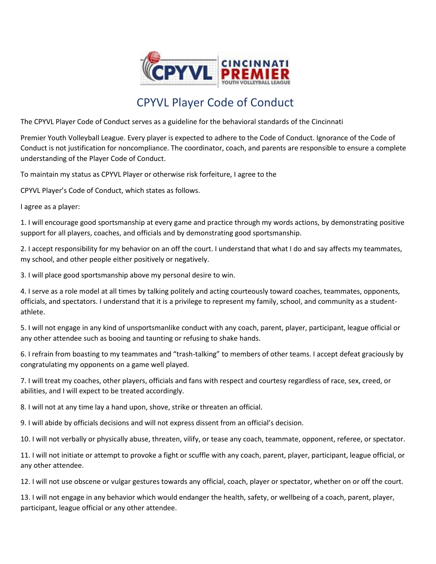

## CPYVL Player Code of Conduct

The CPYVL Player Code of Conduct serves as a guideline for the behavioral standards of the Cincinnati

Premier Youth Volleyball League. Every player is expected to adhere to the Code of Conduct. Ignorance of the Code of Conduct is not justification for noncompliance. The coordinator, coach, and parents are responsible to ensure a complete understanding of the Player Code of Conduct.

To maintain my status as CPYVL Player or otherwise risk forfeiture, I agree to the

CPYVL Player's Code of Conduct, which states as follows.

I agree as a player:

1. I will encourage good sportsmanship at every game and practice through my words actions, by demonstrating positive support for all players, coaches, and officials and by demonstrating good sportsmanship.

2. I accept responsibility for my behavior on an off the court. I understand that what I do and say affects my teammates, my school, and other people either positively or negatively.

3. I will place good sportsmanship above my personal desire to win.

4. I serve as a role model at all times by talking politely and acting courteously toward coaches, teammates, opponents, officials, and spectators. I understand that it is a privilege to represent my family, school, and community as a studentathlete.

5. I will not engage in any kind of unsportsmanlike conduct with any coach, parent, player, participant, league official or any other attendee such as booing and taunting or refusing to shake hands.

6. I refrain from boasting to my teammates and "trash-talking" to members of other teams. I accept defeat graciously by congratulating my opponents on a game well played.

7. I will treat my coaches, other players, officials and fans with respect and courtesy regardless of race, sex, creed, or abilities, and I will expect to be treated accordingly.

8. I will not at any time lay a hand upon, shove, strike or threaten an official.

9. I will abide by officials decisions and will not express dissent from an official's decision.

10. I will not verbally or physically abuse, threaten, vilify, or tease any coach, teammate, opponent, referee, or spectator.

11. I will not initiate or attempt to provoke a fight or scuffle with any coach, parent, player, participant, league official, or any other attendee.

12. I will not use obscene or vulgar gestures towards any official, coach, player or spectator, whether on or off the court.

13. I will not engage in any behavior which would endanger the health, safety, or wellbeing of a coach, parent, player, participant, league official or any other attendee.